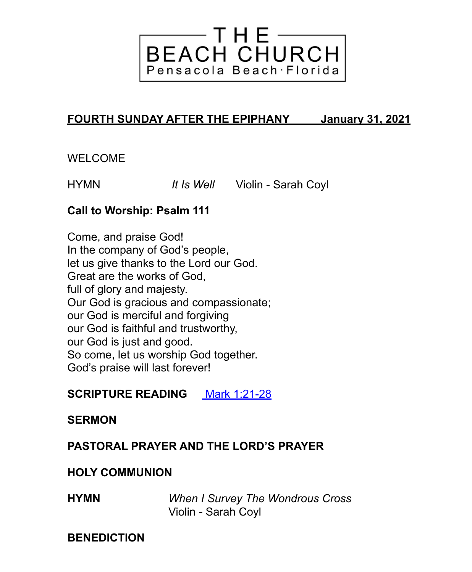

# **FOURTH SUNDAY AFTER THE EPIPHANY January 31, 2021**

## WELCOME

HYMN *It Is Well* Violin - Sarah Coyl

#### **Call to Worship: Psalm 111**

Come, and praise God! In the company of God's people, let us give thanks to the Lord our God. Great are the works of God, full of glory and majesty. Our God is gracious and compassionate; our God is merciful and forgiving our God is faithful and trustworthy, our God is just and good. So come, let us worship God together. God's praise will last forever!

# **SCRIPTURE READING** [Mark 1:21-28](https://lectionary.library.vanderbilt.edu/texts.php?id=63)

#### **SERMON**

## **PASTORAL PRAYER AND THE LORD'S PRAYER**

#### **HOLY COMMUNION**

**HYMN** *When I Survey The Wondrous Cross* Violin - Sarah Coyl

#### **BENEDICTION**